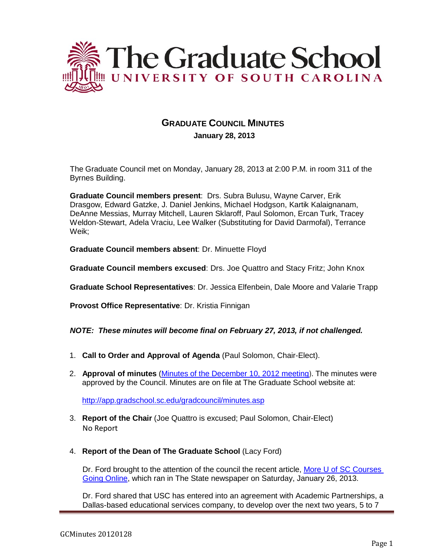

# **GRADUATE COUNCIL MINUTES**

 **January 28, 2013**

The Graduate Council met on Monday, January 28, 2013 at 2:00 P.M. in room 311 of the Byrnes Building.

**Graduate Council members present**: Drs. Subra Bulusu, Wayne Carver, Erik Drasgow, Edward Gatzke, J. Daniel Jenkins, Michael Hodgson, Kartik Kalaignanam, DeAnne Messias, Murray Mitchell, Lauren Sklaroff, Paul Solomon, Ercan Turk, Tracey Weldon-Stewart, Adela Vraciu, Lee Walker (Substituting for David Darmofal), Terrance Weik;

**Graduate Council members absent**: Dr. Minuette Floyd

**Graduate Council members excused**: Drs. Joe Quattro and Stacy Fritz; John Knox

**Graduate School Representatives**: Dr. Jessica Elfenbein, Dale Moore and Valarie Trapp

**Provost Office Representative**: Dr. Kristia Finnigan

# *NOTE: These minutes will become final on February 27, 2013, if not challenged.*

- 1. **Call to Order and Approval of Agenda** (Paul Solomon, Chair-Elect).
- 2. **Approval of minutes** (Minutes of the [December 10, 2012](http://gradschool.sc.edu/facstaff/gradcouncil/2012/Graduate%20Council%20Minutes%2012%2010%2012.pdf) meeting). The minutes were approved by the Council. Minutes are on file at The Graduate School website at:

<http://app.gradschool.sc.edu/gradcouncil/minutes.asp>

- 3. **Report of the Chair** (Joe Quattro is excused; Paul Solomon, Chair-Elect) No Report
- 4. **Report of the Dean of The Graduate School** (Lacy Ford)

Dr. Ford brought to the attention of the council the recent article, More U of SC Courses [Going Online,](http://www.thestate.com/2013/01/26/2605409/more-u-of-sc-courses-going-online.htm) which ran in The State newspaper on Saturday, January 26, 2013.

Dr. Ford shared that USC has entered into an agreement with Academic Partnerships, a Dallas-based educational services company, to develop over the next two years, 5 to 7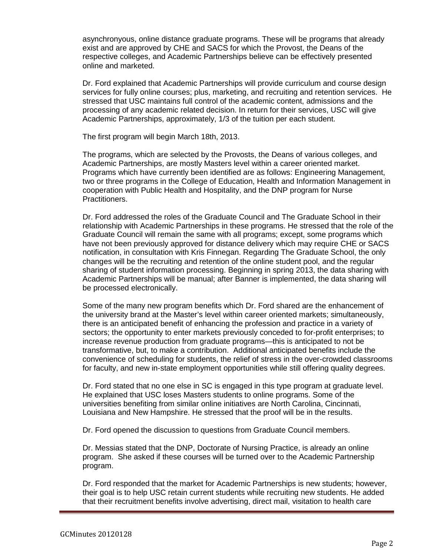asynchronyous, online distance graduate programs. These will be programs that already exist and are approved by CHE and SACS for which the Provost, the Deans of the respective colleges, and Academic Partnerships believe can be effectively presented online and marketed.

Dr. Ford explained that Academic Partnerships will provide curriculum and course design services for fully online courses; plus, marketing, and recruiting and retention services. He stressed that USC maintains full control of the academic content, admissions and the processing of any academic related decision. In return for their services, USC will give Academic Partnerships, approximately, 1/3 of the tuition per each student.

The first program will begin March 18th, 2013.

The programs, which are selected by the Provosts, the Deans of various colleges, and Academic Partnerships, are mostly Masters level within a career oriented market. Programs which have currently been identified are as follows: Engineering Management, two or three programs in the College of Education, Health and Information Management in cooperation with Public Health and Hospitality, and the DNP program for Nurse Practitioners.

Dr. Ford addressed the roles of the Graduate Council and The Graduate School in their relationship with Academic Partnerships in these programs. He stressed that the role of the Graduate Council will remain the same with all programs; except, some programs which have not been previously approved for distance delivery which may require CHE or SACS notification, in consultation with Kris Finnegan. Regarding The Graduate School, the only changes will be the recruiting and retention of the online student pool, and the regular sharing of student information processing. Beginning in spring 2013, the data sharing with Academic Partnerships will be manual; after Banner is implemented, the data sharing will be processed electronically.

Some of the many new program benefits which Dr. Ford shared are the enhancement of the university brand at the Master's level within career oriented markets; simultaneously, there is an anticipated benefit of enhancing the profession and practice in a variety of sectors; the opportunity to enter markets previously conceded to for-profit enterprises; to increase revenue production from graduate programs—this is anticipated to not be transformative, but, to make a contribution. Additional anticipated benefits include the convenience of scheduling for students, the relief of stress in the over-crowded classrooms for faculty, and new in-state employment opportunities while still offering quality degrees.

Dr. Ford stated that no one else in SC is engaged in this type program at graduate level. He explained that USC loses Masters students to online programs. Some of the universities benefiting from similar online initiatives are North Carolina, Cincinnati, Louisiana and New Hampshire. He stressed that the proof will be in the results.

Dr. Ford opened the discussion to questions from Graduate Council members.

Dr. Messias stated that the DNP, Doctorate of Nursing Practice, is already an online program. She asked if these courses will be turned over to the Academic Partnership program.

Dr. Ford responded that the market for Academic Partnerships is new students; however, their goal is to help USC retain current students while recruiting new students. He added that their recruitment benefits involve advertising, direct mail, visitation to health care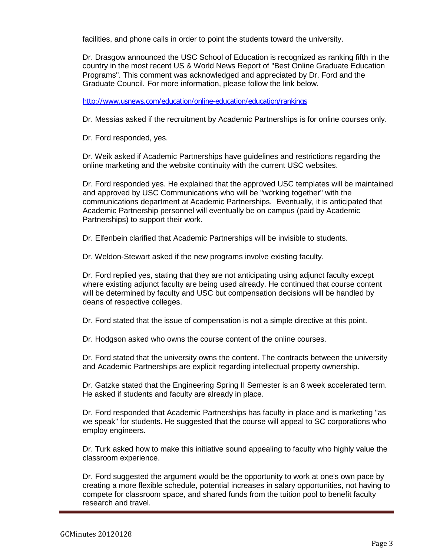facilities, and phone calls in order to point the students toward the university.

Dr. Drasgow announced the USC School of Education is recognized as ranking fifth in the country in the most recent US & World News Report of "Best Online Graduate Education Programs". This comment was acknowledged and appreciated by Dr. Ford and the Graduate Council. For more information, please follow the link below.

<http://www.usnews.com/education/online-education/education/rankings>

Dr. Messias asked if the recruitment by Academic Partnerships is for online courses only.

Dr. Ford responded, yes.

Dr. Weik asked if Academic Partnerships have guidelines and restrictions regarding the online marketing and the website continuity with the current USC websites.

Dr. Ford responded yes. He explained that the approved USC templates will be maintained and approved by USC Communications who will be "working together" with the communications department at Academic Partnerships. Eventually, it is anticipated that Academic Partnership personnel will eventually be on campus (paid by Academic Partnerships) to support their work.

Dr. Elfenbein clarified that Academic Partnerships will be invisible to students.

Dr. Weldon-Stewart asked if the new programs involve existing faculty.

Dr. Ford replied yes, stating that they are not anticipating using adjunct faculty except where existing adjunct faculty are being used already. He continued that course content will be determined by faculty and USC but compensation decisions will be handled by deans of respective colleges.

Dr. Ford stated that the issue of compensation is not a simple directive at this point.

Dr. Hodgson asked who owns the course content of the online courses.

Dr. Ford stated that the university owns the content. The contracts between the university and Academic Partnerships are explicit regarding intellectual property ownership.

Dr. Gatzke stated that the Engineering Spring II Semester is an 8 week accelerated term. He asked if students and faculty are already in place.

Dr. Ford responded that Academic Partnerships has faculty in place and is marketing "as we speak" for students. He suggested that the course will appeal to SC corporations who employ engineers.

Dr. Turk asked how to make this initiative sound appealing to faculty who highly value the classroom experience.

Dr. Ford suggested the argument would be the opportunity to work at one's own pace by creating a more flexible schedule, potential increases in salary opportunities, not having to compete for classroom space, and shared funds from the tuition pool to benefit faculty research and travel.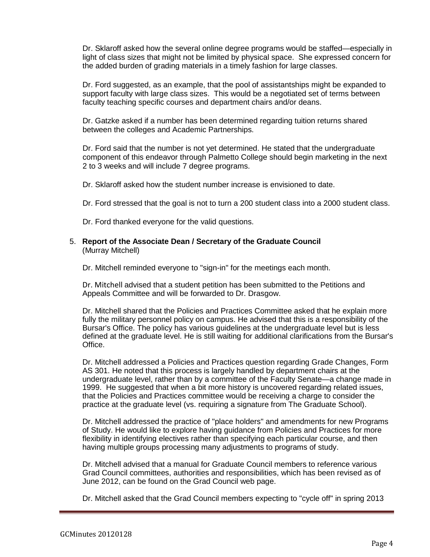Dr. Sklaroff asked how the several online degree programs would be staffed—especially in light of class sizes that might not be limited by physical space. She expressed concern for the added burden of grading materials in a timely fashion for large classes.

Dr. Ford suggested, as an example, that the pool of assistantships might be expanded to support faculty with large class sizes. This would be a negotiated set of terms between faculty teaching specific courses and department chairs and/or deans.

Dr. Gatzke asked if a number has been determined regarding tuition returns shared between the colleges and Academic Partnerships.

Dr. Ford said that the number is not yet determined. He stated that the undergraduate component of this endeavor through Palmetto College should begin marketing in the next 2 to 3 weeks and will include 7 degree programs.

Dr. Sklaroff asked how the student number increase is envisioned to date.

Dr. Ford stressed that the goal is not to turn a 200 student class into a 2000 student class.

Dr. Ford thanked everyone for the valid questions.

5. **Report of the Associate Dean / Secretary of the Graduate Council** (Murray Mitchell)

Dr. Mitchell reminded everyone to "sign-in" for the meetings each month.

Dr. Mitchell advised that a student petition has been submitted to the Petitions and Appeals Committee and will be forwarded to Dr. Drasgow.

Dr. Mitchell shared that the Policies and Practices Committee asked that he explain more fully the military personnel policy on campus. He advised that this is a responsibility of the Bursar's Office. The policy has various guidelines at the undergraduate level but is less defined at the graduate level. He is still waiting for additional clarifications from the Bursar's Office.

Dr. Mitchell addressed a Policies and Practices question regarding Grade Changes, Form AS 301. He noted that this process is largely handled by department chairs at the undergraduate level, rather than by a committee of the Faculty Senate—a change made in 1999. He suggested that when a bit more history is uncovered regarding related issues, that the Policies and Practices committee would be receiving a charge to consider the practice at the graduate level (vs. requiring a signature from The Graduate School).

Dr. Mitchell addressed the practice of "place holders" and amendments for new Programs of Study. He would like to explore having guidance from Policies and Practices for more flexibility in identifying electives rather than specifying each particular course, and then having multiple groups processing many adjustments to programs of study.

Dr. Mitchell advised that a manual for Graduate Council members to reference various Grad Council committees, authorities and responsibilities, which has been revised as of June 2012, can be found on the Grad Council web page.

Dr. Mitchell asked that the Grad Council members expecting to "cycle off" in spring 2013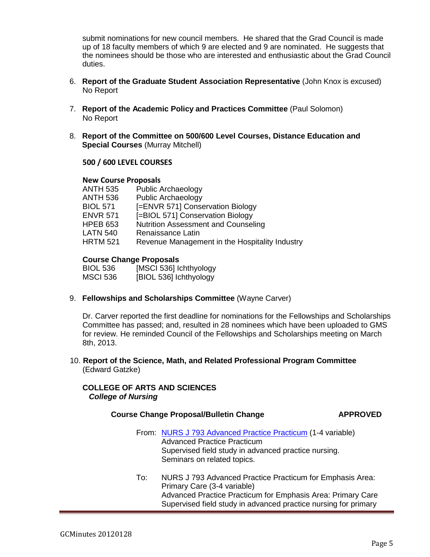submit nominations for new council members. He shared that the Grad Council is made up of 18 faculty members of which 9 are elected and 9 are nominated. He suggests that the nominees should be those who are interested and enthusiastic about the Grad Council duties.

- 6. **Report of the Graduate Student Association Representative** (John Knox is excused) No Report
- 7. **Report of the Academic Policy and Practices Committee** (Paul Solomon) No Report
- 8. **Report of the Committee on 500/600 Level Courses, Distance Education and Special Courses** (Murray Mitchell)

# **500 / 600 LEVEL COURSES**

#### **New Course Proposals**

| ANTH 535        | <b>Public Archaeology</b>                      |
|-----------------|------------------------------------------------|
|                 |                                                |
| ANTH 536        | <b>Public Archaeology</b>                      |
| BIOL 571        | [=ENVR 571] Conservation Biology               |
| <b>ENVR 571</b> | [=BIOL 571] Conservation Biology               |
| HPEB 653        | <b>Nutrition Assessment and Counseling</b>     |
| LATN 540        | Renaissance Latin                              |
| <b>HRTM 521</b> | Revenue Management in the Hospitality Industry |
|                 |                                                |

# **Course Change Proposals**

| <b>BIOL 536</b> | [MSCI 536] Ichthyology |
|-----------------|------------------------|
| <b>MSCI 536</b> | [BIOL 536] Ichthyology |

# 9. **Fellowships and Scholarships Committee** (Wayne Carver)

Dr. Carver reported the first deadline for nominations for the Fellowships and Scholarships Committee has passed; and, resulted in 28 nominees which have been uploaded to GMS for review. He reminded Council of the Fellowships and Scholarships meeting on March 8th, 2013.

10. **Report of the Science, Math, and Related Professional Program Committee** (Edward Gatzke)

# **COLLEGE OF ARTS AND SCIENCES** *College of Nursing*

#### **Course Change Proposal/Bulletin Change APPROVED**

- From: [NURS J 793 Advanced Practice Practicum](http://gradschool.sc.edu/facstaff/gradcouncil/2012/NURS%20J%20793%20Advanced%20Practice%20Practicum%20CCP%20_Redacted.pdf) (1-4 variable) Advanced Practice Practicum Supervised field study in advanced practice nursing. Seminars on related topics.
- To: NURS J 793 Advanced Practice Practicum for Emphasis Area: Primary Care (3-4 variable) Advanced Practice Practicum for Emphasis Area: Primary Care Supervised field study in advanced practice nursing for primary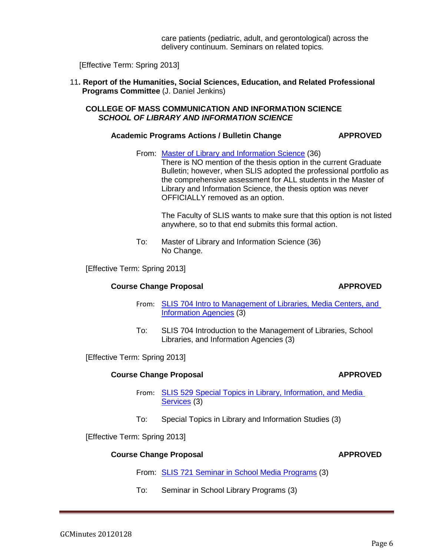No Change.

[Effective Term: Spring 2013]

# **Course Change Proposal <b>APPROVED**

- From: [SLIS 704 Intro to Management of Libraries, Media Centers, and](http://gradschool.sc.edu/facstaff/gradcouncil/2012/SLIS%20704%20Intro%20to%20Management%20of%20Libraries,%20Media%20Centers,%20and%20Information%20Agencies%20CCP_Redacted.pdf)  [Information Agencies](http://gradschool.sc.edu/facstaff/gradcouncil/2012/SLIS%20704%20Intro%20to%20Management%20of%20Libraries,%20Media%20Centers,%20and%20Information%20Agencies%20CCP_Redacted.pdf) (3)
- To: SLIS 704 Introduction to the Management of Libraries, School Libraries, and Information Agencies (3)

[Effective Term: Spring 2013]

#### **Course Change Proposal <b>APPROVED**

- From: [SLIS 529 Special Topics in Library, Information, and Media](http://gradschool.sc.edu/facstaff/gradcouncil/2012/SLIS%20529%20Special%20Topics%20in%20Library,%20Information%20and%20Media%20Services%20CCP_Redacted.pdf)  [Services](http://gradschool.sc.edu/facstaff/gradcouncil/2012/SLIS%20529%20Special%20Topics%20in%20Library,%20Information%20and%20Media%20Services%20CCP_Redacted.pdf) (3)
- To: Special Topics in Library and Information Studies (3)

[Effective Term: Spring 2013]

# **Course Change Proposal <b>APPROVED**

From: [SLIS 721 Seminar in School Media Programs](http://gradschool.sc.edu/facstaff/gradcouncil/2012/SLIS%20721%20Seminar%20in%20School%20Media%20Programs%20CCP_Redacted.pdf) (3)

To: Seminar in School Library Programs (3)

# care patients (pediatric, adult, and gerontological) across the delivery continuum. Seminars on related topics.

[Effective Term: Spring 2013]

11**. Report of the Humanities, Social Sciences, Education, and Related Professional Programs Committee** (J. Daniel Jenkins)

### **COLLEGE OF MASS COMMUNICATION AND INFORMATION SCIENCE** *SCHOOL OF LIBRARY AND INFORMATION SCIENCE*

#### **Academic Programs Actions / Bulletin Change**  $\blacksquare$  **APPROVED**

From: [Master of Library and Information Science](http://gradschool.sc.edu/facstaff/gradcouncil/2012/CMCIS%20SLIS%20Master%20of%20Library%20and%20Information%20Science%20APA%20BC_Redacted.pdf) (36)

There is NO mention of the thesis option in the current Graduate Bulletin; however, when SLIS adopted the professional portfolio as the comprehensive assessment for ALL students in the Master of Library and Information Science, the thesis option was never OFFICIALLY removed as an option.

The Faculty of SLIS wants to make sure that this option is not listed anywhere, so to that end submits this formal action.

To: Master of Library and Information Science (36)

Page 6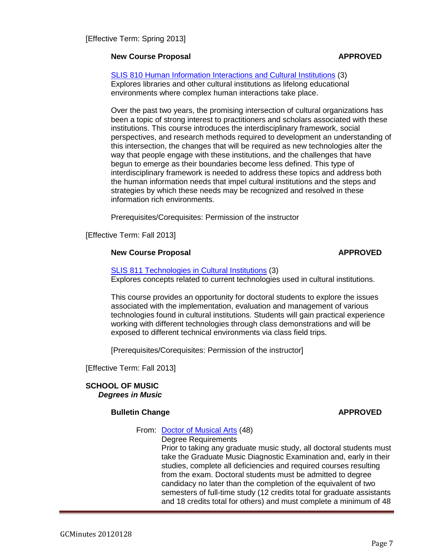# **New Course Proposal and APPROVED**

[SLIS 810 Human Information Interactions and Cultural Institutions](http://gradschool.sc.edu/facstaff/gradcouncil/2012/SLIS%20810%20Human%20Information%20Interactions%20and%20Cultural%20Institutions%20NCP_Redacted.pdf) (3) Explores libraries and other cultural institutions as lifelong educational environments where complex human interactions take place.

Over the past two years, the promising intersection of cultural organizations has been a topic of strong interest to practitioners and scholars associated with these institutions. This course introduces the interdisciplinary framework, social perspectives, and research methods required to development an understanding of this intersection, the changes that will be required as new technologies alter the way that people engage with these institutions, and the challenges that have begun to emerge as their boundaries become less defined. This type of interdisciplinary framework is needed to address these topics and address both the human information needs that impel cultural institutions and the steps and strategies by which these needs may be recognized and resolved in these information rich environments.

Prerequisites/Corequisites: Permission of the instructor

[Effective Term: Fall 2013]

# **New Course Proposal and APPROVED**

### [SLIS 811 Technologies in Cultural Institutions](http://gradschool.sc.edu/facstaff/gradcouncil/2012/SLIS%20811%20Technologies%20in%20Cultural%20Institutions%20NCP_Redacted.pdf) (3)

Explores concepts related to current technologies used in cultural institutions.

This course provides an opportunity for doctoral students to explore the issues associated with the implementation, evaluation and management of various technologies found in cultural institutions. Students will gain practical experience working with different technologies through class demonstrations and will be exposed to different technical environments via class field trips.

[Prerequisites/Corequisites: Permission of the instructor]

[Effective Term: Fall 2013]

#### **SCHOOL OF MUSIC** *Degrees in Music*

# **Bulletin Change APPROVED**

From: [Doctor of Musical Arts](http://gradschool.sc.edu/facstaff/gradcouncil/2012/MUSIC%20Doctor%20of%20Musical%20Arts%20Degrees%20except%20DMA%20Voice%20Performance.pdf) (48)

Degree Requirements

Prior to taking any graduate music study, all doctoral students must take the Graduate Music Diagnostic Examination and, early in their studies, complete all deficiencies and required courses resulting from the exam. Doctoral students must be admitted to degree candidacy no later than the completion of the equivalent of two semesters of full-time study (12 credits total for graduate assistants and 18 credits total for others) and must complete a minimum of 48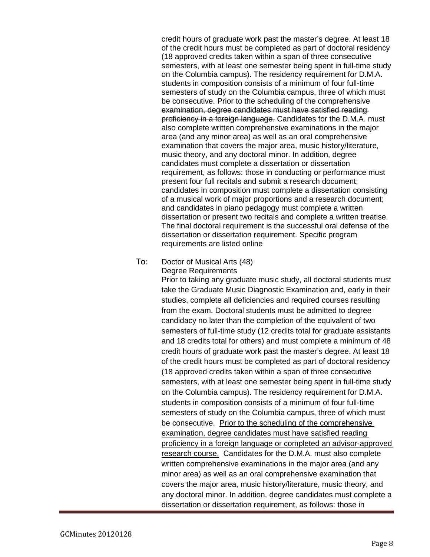credit hours of graduate work past the master's degree. At least 18 of the credit hours must be completed as part of doctoral residency (18 approved credits taken within a span of three consecutive semesters, with at least one semester being spent in full-time study on the Columbia campus). The residency requirement for D.M.A. students in composition consists of a minimum of four full-time semesters of study on the Columbia campus, three of which must be consecutive. Prior to the scheduling of the comprehensive examination, degree candidates must have satisfied reading proficiency in a foreign language. Candidates for the D.M.A. must also complete written comprehensive examinations in the major area (and any minor area) as well as an oral comprehensive examination that covers the major area, music history/literature, music theory, and any doctoral minor. In addition, degree candidates must complete a dissertation or dissertation requirement, as follows: those in conducting or performance must present four full recitals and submit a research document; candidates in composition must complete a dissertation consisting of a musical work of major proportions and a research document; and candidates in piano pedagogy must complete a written dissertation or present two recitals and complete a written treatise. The final doctoral requirement is the successful oral defense of the dissertation or dissertation requirement. Specific program requirements are listed online

# To: Doctor of Musical Arts (48)

Degree Requirements

Prior to taking any graduate music study, all doctoral students must take the Graduate Music Diagnostic Examination and, early in their studies, complete all deficiencies and required courses resulting from the exam. Doctoral students must be admitted to degree candidacy no later than the completion of the equivalent of two semesters of full-time study (12 credits total for graduate assistants and 18 credits total for others) and must complete a minimum of 48 credit hours of graduate work past the master's degree. At least 18 of the credit hours must be completed as part of doctoral residency (18 approved credits taken within a span of three consecutive semesters, with at least one semester being spent in full-time study on the Columbia campus). The residency requirement for D.M.A. students in composition consists of a minimum of four full-time semesters of study on the Columbia campus, three of which must be consecutive. Prior to the scheduling of the comprehensive examination, degree candidates must have satisfied reading proficiency in a foreign language or completed an advisor-approved research course. Candidates for the D.M.A. must also complete written comprehensive examinations in the major area (and any minor area) as well as an oral comprehensive examination that covers the major area, music history/literature, music theory, and any doctoral minor. In addition, degree candidates must complete a dissertation or dissertation requirement, as follows: those in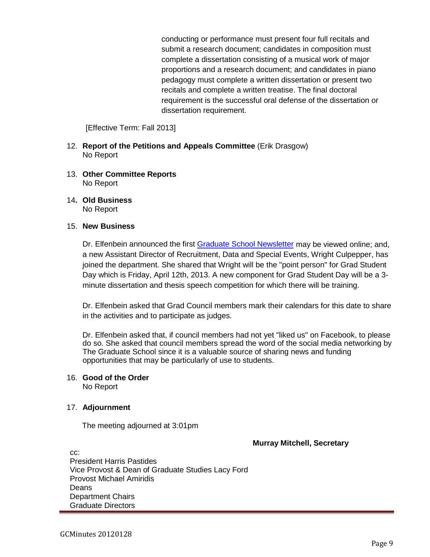conducting or performance must present four full recitals and submit a research document; candidates in composition must complete a dissertation consisting of a musical work of major proportions and a research document; and candidates in piano pedagogy must complete a written dissertation or present two recitals and complete a written treatise. The final doctoral requirement is the successful oral defense of the dissertation or dissertation requirement.

# [Effective Term: Fall 2013]

- 12. **Report of the Petitions and Appeals Committee** (Erik Drasgow) No Report
- 13. **Other Committee Reports** No Report
- 14**. Old Business** No Report

# 15. **New Business**

Dr. Elfenbein announced the first [Graduate School Newsletter](http://gradschool.sc.edu/docs/newsletterspring.pdf) may be viewed online; and, a new Assistant Director of Recruitment, Data and Special Events, Wright Culpepper, has joined the department. She shared that Wright will be the "point person" for Grad Student Day which is Friday, April 12th, 2013. A new component for Grad Student Day will be a 3 minute dissertation and thesis speech competition for which there will be training.

Dr. Elfenbein asked that Grad Council members mark their calendars for this date to share in the activities and to participate as judges.

Dr. Elfenbein asked that, if council members had not yet "liked us" on Facebook, to please do so. She asked that council members spread the word of the social media networking by The Graduate School since it is a valuable source of sharing news and funding opportunities that may be particularly of use to students.

# 16. **Good of the Order**

No Report

# 17. **Adjournment**

The meeting adjourned at 3:01pm

# **Murray Mitchell, Secretary**

cc: President Harris Pastides Vice Provost & Dean of Graduate Studies Lacy Ford Provost Michael Amiridis Deans Department Chairs Graduate Directors